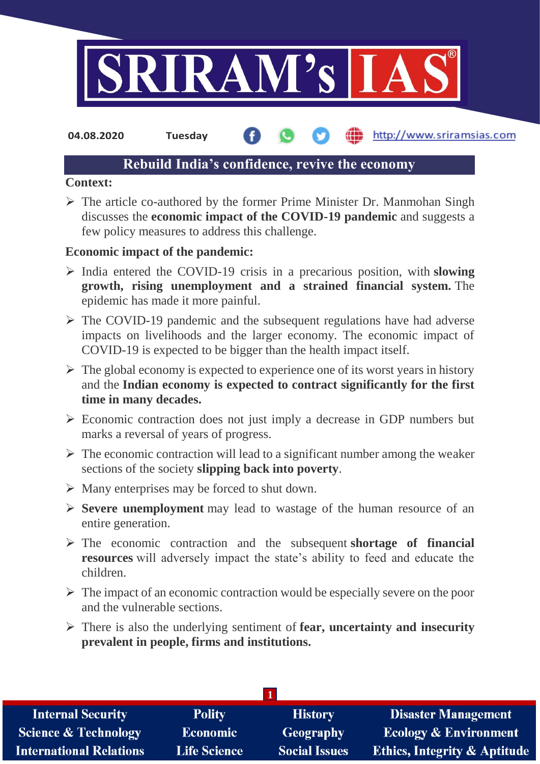

http://www.sriramsias.com **04.08.2020 Tuesday**

# **Rebuild India's confidence, revive the economy**

### **Context:**

 $\triangleright$  The article co-authored by the former Prime Minister Dr. Manmohan Singh discusses the **economic impact of the COVID-19 pandemic** and suggests a few policy measures to address this challenge.

### **Economic impact of the pandemic:**

- India entered the COVID-19 crisis in a precarious position, with **slowing growth, rising unemployment and a strained financial system.** The epidemic has made it more painful.
- $\triangleright$  The COVID-19 pandemic and the subsequent regulations have had adverse impacts on livelihoods and the larger economy. The economic impact of COVID-19 is expected to be bigger than the health impact itself.
- $\triangleright$  The global economy is expected to experience one of its worst years in history and the **Indian economy is expected to contract significantly for the first time in many decades.**
- $\triangleright$  Economic contraction does not just imply a decrease in GDP numbers but marks a reversal of years of progress.
- $\triangleright$  The economic contraction will lead to a significant number among the weaker sections of the society **slipping back into poverty**.
- $\triangleright$  Many enterprises may be forced to shut down.
- **Severe unemployment** may lead to wastage of the human resource of an entire generation.
- The economic contraction and the subsequent **shortage of financial resources** will adversely impact the state's ability to feed and educate the children.
- $\triangleright$  The impact of an economic contraction would be especially severe on the poor and the vulnerable sections.
- There is also the underlying sentiment of **fear, uncertainty and insecurity prevalent in people, firms and institutions.**

| <b>Internal Security</b>        | <b>Polity</b>       | <b>History</b>       | <b>Disaster Management</b>              |
|---------------------------------|---------------------|----------------------|-----------------------------------------|
| <b>Science &amp; Technology</b> | <b>Economic</b>     | Geography            | <b>Ecology &amp; Environment</b>        |
| <b>International Relations</b>  | <b>Life Science</b> | <b>Social Issues</b> | <b>Ethics, Integrity &amp; Aptitude</b> |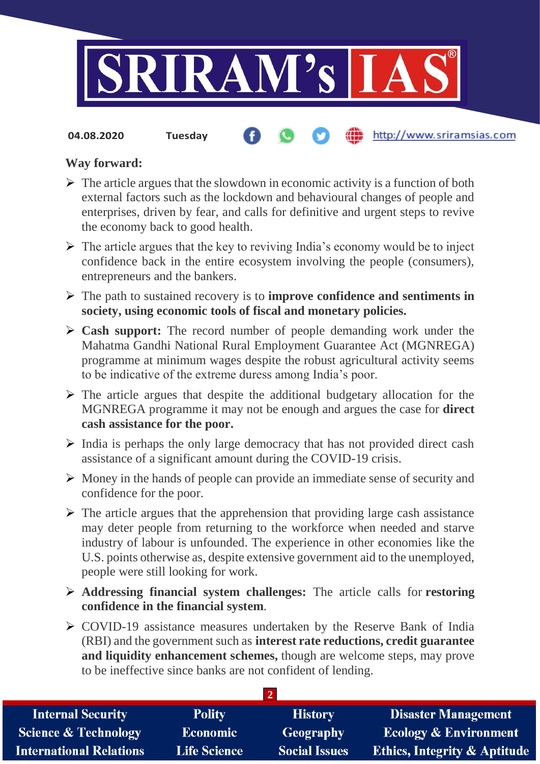

**04.08.2020 Tuesday**

### http://www.sriramsias.com

## **Way forward:**

- $\triangleright$  The article argues that the slowdown in economic activity is a function of both external factors such as the lockdown and behavioural changes of people and enterprises, driven by fear, and calls for definitive and urgent steps to revive the economy back to good health.
- $\triangleright$  The article argues that the key to reviving India's economy would be to inject confidence back in the entire ecosystem involving the people (consumers), entrepreneurs and the bankers.
- The path to sustained recovery is to **improve confidence and sentiments in society, using economic tools of fiscal and monetary policies.**
- **Cash support:** The record number of people demanding work under the Mahatma Gandhi National Rural Employment Guarantee Act (MGNREGA) programme at minimum wages despite the robust agricultural activity seems to be indicative of the extreme duress among India's poor.
- $\triangleright$  The article argues that despite the additional budgetary allocation for the MGNREGA programme it may not be enough and argues the case for **direct cash assistance for the poor.**
- $\triangleright$  India is perhaps the only large democracy that has not provided direct cash assistance of a significant amount during the COVID-19 crisis.
- Money in the hands of people can provide an immediate sense of security and confidence for the poor.
- $\triangleright$  The article argues that the apprehension that providing large cash assistance may deter people from returning to the workforce when needed and starve industry of labour is unfounded. The experience in other economies like the U.S. points otherwise as, despite extensive government aid to the unemployed, people were still looking for work.
- **Addressing financial system challenges:** The article calls for **restoring confidence in the financial system**.
- $\triangleright$  COVID-19 assistance measures undertaken by the Reserve Bank of India (RBI) and the government such as **interest rate reductions, credit guarantee and liquidity enhancement schemes,** though are welcome steps, may prove to be ineffective since banks are not confident of lending.

| <b>Internal Security</b>        | <b>Polity</b>       | <b>History</b>       | <b>Disaster Management</b>              |  |  |  |
|---------------------------------|---------------------|----------------------|-----------------------------------------|--|--|--|
| <b>Science &amp; Technology</b> | <b>Economic</b>     | Geography            | <b>Ecology &amp; Environment</b>        |  |  |  |
| <b>International Relations</b>  | <b>Life Science</b> | <b>Social Issues</b> | <b>Ethics, Integrity &amp; Aptitude</b> |  |  |  |

**2**